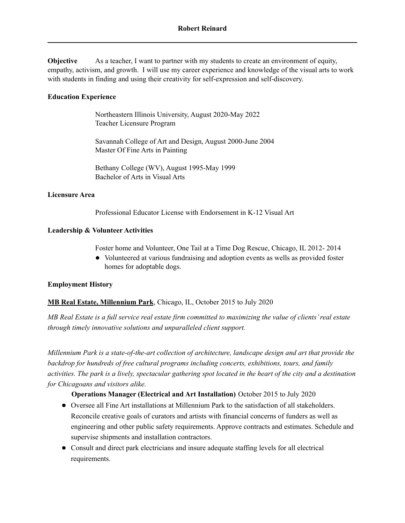**Objective** As a teacher, I want to partner with my students to create an environment of equity, empathy, activism, and growth. I will use my career experience and knowledge of the visual arts to work with students in finding and using their creativity for self-expression and self-discovery.

### **Education Experience**

Northeastern Illinois University, August 2020-May 2022 Teacher Licensure Program

Savannah College of Art and Design, August 2000-June 2004 Master Of Fine Arts in Painting

Bethany College (WV), August 1995-May 1999 Bachelor of Arts in Visual Arts

#### **Licensure Area**

Professional Educator License with Endorsement in K-12 Visual Art

### **Leadership & Volunteer Activities**

Foster home and Volunteer, One Tail at a Time Dog Rescue, Chicago, IL 2012- 2014

● Volunteered at various fundraising and adoption events as wells as provided foster homes for adoptable dogs.

#### **Employment History**

# **MB Real Estate, Millennium Park**, Chicago, IL, October 2015 to July 2020

MB Real Estate is a full service real estate firm committed to maximizing the value of clients' real estate *through timely innovative solutions and unparalleled client support.*

*Millennium Park is a state-of-the-art collection of architecture, landscape design and art that provide the backdrop for hundreds of free cultural programs including concerts, exhibitions, tours, and family* activities. The park is a lively, spectacular gathering spot located in the heart of the city and a destination *for Chicagoans and visitors alike.*

# **Operations Manager (Electrical and Art Installation)** October 2015 to July 2020

- Oversee all Fine Art installations at Millennium Park to the satisfaction of all stakeholders. Reconcile creative goals of curators and artists with financial concerns of funders as well as engineering and other public safety requirements. Approve contracts and estimates. Schedule and supervise shipments and installation contractors.
- Consult and direct park electricians and insure adequate staffing levels for all electrical requirements.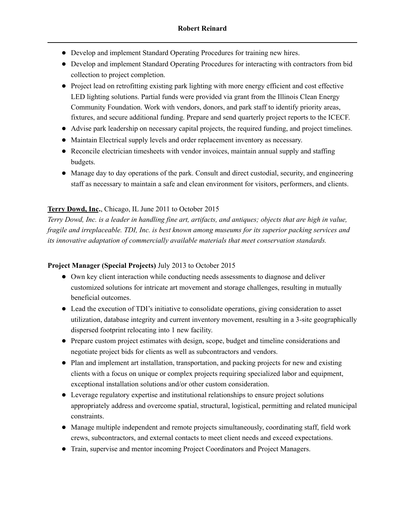- Develop and implement Standard Operating Procedures for training new hires.
- Develop and implement Standard Operating Procedures for interacting with contractors from bid collection to project completion.
- Project lead on retrofitting existing park lighting with more energy efficient and cost effective LED lighting solutions. Partial funds were provided via grant from the Illinois Clean Energy Community Foundation. Work with vendors, donors, and park staff to identify priority areas, fixtures, and secure additional funding. Prepare and send quarterly project reports to the ICECF.
- Advise park leadership on necessary capital projects, the required funding, and project timelines.
- Maintain Electrical supply levels and order replacement inventory as necessary.
- Reconcile electrician timesheets with vendor invoices, maintain annual supply and staffing budgets.
- Manage day to day operations of the park. Consult and direct custodial, security, and engineering staff as necessary to maintain a safe and clean environment for visitors, performers, and clients.

# **Terry Dowd, Inc.**, Chicago, IL June 2011 to October 2015

Terry Dowd, Inc. is a leader in handling fine art, artifacts, and antiques; objects that are high in value, *fragile and irreplaceable. TDI, Inc. is best known among museums for its superior packing services and its innovative adaptation of commercially available materials that meet conservation standards.*

#### **Project Manager (Special Projects)** July 2013 to October 2015

- Own key client interaction while conducting needs assessments to diagnose and deliver customized solutions for intricate art movement and storage challenges, resulting in mutually beneficial outcomes.
- Lead the execution of TDI's initiative to consolidate operations, giving consideration to asset utilization, database integrity and current inventory movement, resulting in a 3-site geographically dispersed footprint relocating into 1 new facility.
- Prepare custom project estimates with design, scope, budget and timeline considerations and negotiate project bids for clients as well as subcontractors and vendors.
- Plan and implement art installation, transportation, and packing projects for new and existing clients with a focus on unique or complex projects requiring specialized labor and equipment, exceptional installation solutions and/or other custom consideration.
- Leverage regulatory expertise and institutional relationships to ensure project solutions appropriately address and overcome spatial, structural, logistical, permitting and related municipal constraints.
- Manage multiple independent and remote projects simultaneously, coordinating staff, field work crews, subcontractors, and external contacts to meet client needs and exceed expectations.
- Train, supervise and mentor incoming Project Coordinators and Project Managers.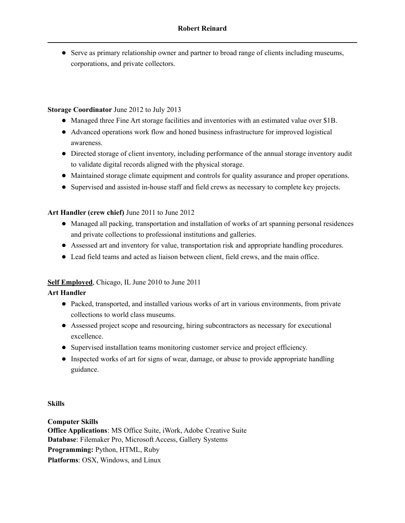● Serve as primary relationship owner and partner to broad range of clients including museums, corporations, and private collectors.

### **Storage Coordinator** June 2012 to July 2013

- Managed three Fine Art storage facilities and inventories with an estimated value over \$1B.
- Advanced operations work flow and honed business infrastructure for improved logistical awareness.
- Directed storage of client inventory, including performance of the annual storage inventory audit to validate digital records aligned with the physical storage.
- Maintained storage climate equipment and controls for quality assurance and proper operations.
- Supervised and assisted in-house staff and field crews as necessary to complete key projects.

# **Art Handler (crew chief)** June 2011 to June 2012

- Managed all packing, transportation and installation of works of art spanning personal residences and private collections to professional institutions and galleries.
- Assessed art and inventory for value, transportation risk and appropriate handling procedures.
- Lead field teams and acted as liaison between client, field crews, and the main office.

# **Self Employed**, Chicago, IL June 2010 to June 2011

# **Art Handler**

- Packed, transported, and installed various works of art in various environments, from private collections to world class museums.
- Assessed project scope and resourcing, hiring subcontractors as necessary for executional excellence.
- Supervised installation teams monitoring customer service and project efficiency.
- Inspected works of art for signs of wear, damage, or abuse to provide appropriate handling guidance.

#### **Skills**

**Computer Skills Office Applications**: MS Office Suite, iWork, Adobe Creative Suite **Database**: Filemaker Pro, Microsoft Access, Gallery Systems **Programming:** Python, HTML, Ruby **Platforms**: OSX, Windows, and Linux